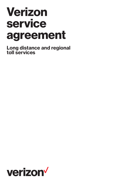# Verizon service agreement

Long distance and regional toll services

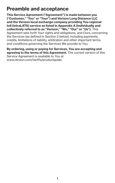## Preamble and acceptance

This Service Agreement ("Agreement") is made between you ("Customer," "You" or "Your") and Verizon Long Distance LLC and the Verizon local exchange company providing You regional toll (intraLATA) service as listed in Appendix A (individually and collectively referred to as "Verizon," "We," "Our" or "Us"). This Agreement sets forth Your rights and obligations, and Ours, concerning the Services (as defined in Section 2 below), including payments, credits, limitations of liability, arbitration and other important terms and conditions governing the Services We provide to You.

By ordering, using or paying for Services, You are accepting and agreeing to the terms of this Agreement. The current version of this Service Agreement is available to You at www.verizon.com/tariffs/productquide.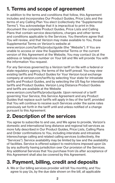# 1. Terms and scope of agreement

In addition to the terms and conditions that follow, this Agreement includes and incorporates Our Product Guides, Price Lists and the terms of any Calling Plan You elect (collectively the "Supplemental Terms"). You acknowledge that it is impractical to print in this document the complete Product Guides, Price Lists and Calling Plans that contain service descriptions, charges and other terms and conditions applicable to the Services. You therefore agree that You will review, and that Verizon may make available to You, those Supplemental Terms on Verizon's website at

www.verizon.com/tariffs/productguide (the "Website"). If You are unable to access or view the Supplemental Terms or the current version of this Agreement at the Website, You may contact Us at the address or telephone number on Your bill and We will provide You with the information You request.

For any Services governed by a Verizon tariff on file with a federal or state regulatory agency, the terms of the tariff prevail. You may view existing tariffs and Product Guides for Your Verizon local exchange company at verizon.com/tariffs by selecting Your state for intrastate tariffs and Product Guides, and by selecting the US flag for interstate tariffs and Product Guides. Verizon Long Distance Product Guides and tariffs are available at the Website

www.verizon.com/tariffs/productguide. Upon removal of a tariff governing Your Service, this Service Agreement and any Product Guides that replace such tariffs will apply in lieu of the tariff, provided that You will continue to receive such Services under the same rates previously set forth in the tariff until and unless notified of a change pursuant to this Agreement.

## 2. Description of the services

You agree to subscribe to and use, and We agree to provide, Verizon's domestic and international long distance and regional toll services as more fully described in Our Product Guides, Price Lists, Calling Plans and Order confirmations to You, including interstate and intrastate interexchange calling and related calling services (collectively, the "Services"). Service availability may be limited by law and the availability of facilities. Service is offered subject to restrictions imposed upon Us by any authority having jurisdiction over Our provision of the Services. Any additional Services that You purchase from Us after acceptance of this Agreement shall also be covered by this Agreement.

## 3. Payment, billing, credit and deposits

A. We or Our billing services provider will bill You monthly, and You agree to pay Us, by the due date shown on the bill, all applicable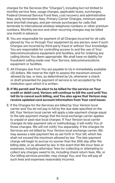charges for the Services (the "Charges"), including but not limited to monthly service fees, usage charges, applicable taxes, surcharges, Federal Universal Service Fund fees, cost recovery and administrative fees, early termination fees, Primary Carrier Charges, minimum spend level shortfall charges, and per-minute surcharges for calls that terminate to international wireless telephone numbers or other premium numbers. Monthly service and other recurring charges may be billed one month in advance.

- B. You are responsible for payment of all Charges incurred for all calls placed by You or through Your equipment by any person, even if such Charges are incurred by third-party fraud or without Your knowledge. You are responsible for controlling access to and the use of Your telecommunications equipment and facilities, and for ordering any calling blocks You deem appropriate. We shall have no liability for fraudulent calling made over Your Service, telecommunications equipment or facilities.
- C. All Charges due from You are payable to Us in immediately available US dollars. We reserve the right to assess the maximum amount allowed by law, or less, as determined by Us, whenever a check or draft presented for payment of service is not accepted by the institution upon which it is written.
- D. If We permit and You elect to be billed for the service on Your credit or debit card, Verizon will continue to bill the card until You tell Us to cancel such billing, and You also agree that Verizon may receive updated card account information from Your card issuer.
- E. If the Charges for the Services are billed by Your Verizon local carrier and You do not pay in full by the due date specified on the bill, Your Verizon local carrier will apply a late-payment charge equal to the late-payment charge that the local exchange carrier applies to unpaid or past-due local charges. If Your Verizon local carrier changes its late-payment rate or methodology, it will notify You of those changes. We will not notify You separately. If the charges for Services are not billed by Your Verizon local exchange carrier, We may assess a late-payment fee as set forth in Your bill, which fee shall not exceed the maximum allowed by law. The late-payment charge will begin to accrue no sooner than the 25th day after the billing date, or as allowed by law. In the event that We incur fees or expenses, including attorneys' fees for collecting or attempting to collect any charges owed to Us, including check return fees, We, or Our billing services provider, may charge You, and You will pay all such fees and expenses reasonably incurred.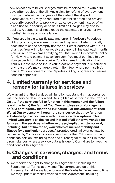- F. Any objections to billed Charges must be reported to Us within 30 days after receipt of the bill. Any claims for refund of overpayment must be made within two years of the date of the alleged overpayment. You may be required to establish credit and provide a security deposit or to provide an advance payment instead of, or in addition to, a security deposit. A limit on Charges may also be applied. A deposit shall not exceed the estimated charges for two months' Services plus installation.
- G. If You are eligible to participate and enroll in Verizon's Paperless Billing program, You agree to view and pay Your bill electronically each month and to promptly update Your email address with Us if it changes. You will no longer receive a paper bill. Instead, each month You will receive an email notifying You that Your bill is available online for viewing and payment at verizon.com. You must continue to pay Your paper bill until You receive Your first email notification that Your bill is available online. If Your electronic payment is rejected for any reason, We may charge a return item fee (where permissible), cancel Your enrollment in the Paperless Billing program and resume sending paper bills.

## 4. Limited warranty for services and remedy for failures in services

We warrant that the Services will function substantially in accordance with the service description and Calling Plan as set forth in the Product Guide. If the services fail to function in this manner and the failure is not due to: (a) the fault of You, Your employees or Your agents or (b) a contingency identified in Section 8 of this agreement, then We, at Our expense, will repair the services so that they function substantially in accordance with the service descriptions. This limited warranty is exclusive and instead of all other warranties for failures in the services, whether express, implied, written or oral, including, but not limited to, warranties of merchantability and fitness for a particular purpose. A prorated credit allowance may be requested by You for service outages of more than 24 hours for the nonusage portion (excluding fees and surcharges) of Your bill in those circumstances where a service outage is due to Our failure to meet the conditions of this Agreement.

## 5. Changes in services, charges, and terms and conditions

A. We reserve the right to change this Agreement, including the Supplemental Terms, at any time. The current version of this Agreement shall be available to You at the Website. From time to time We may update or make revisions to this Agreement, including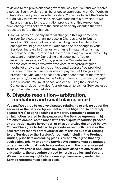revisions to the provisions that govern the way that You and We resolve disputes. Such revisions shall be effective upon posting on Our Website unless We specify another effective date. You agree to visit the Website periodically to review revisions. Notwithstanding this provision, if We make any changes to the arbitration provisions of this Agreement, such changes will not affect the arbitration of any disputes that was requested before the change.

B. We will notify You of any material change in this Agreement or in Your Services, or of an increase in Charges prior to, but no less than 30 days in advance of, the billing period in which the changes would go into effect. Notification of the change in Your Services, increase in Charges, or change in material terms may be provided in the form of a bill insert or message on Your invoice, by postcard or letter, by Our calling and speaking to You or leaving a message for You, by posting on Our websites at verizon.com/terms or www.verizon.com/tariffs/productguide (Website) or by email to the contact email address You provided Us. Your continued use of Services or payment of Charges after provision of Our Notice constitutes Your acceptance of the revision posted and/or described in the Notice. If You do not wish to accept such revisions, You must cancel and cease using the Services. Cancellation does not waive Your obligation to pay for Services used up to the date of cancellation.

## 6. Dispute resolution—arbitration, mediation and small claims court

You and We agree to resolve disputes relating to or arising out of the services or the Service Agreement without litigation. Accordingly, except for: a) actions seeking a temporary restraining order or an injunction related to the purpose of the Service Agreement; b) actions to compel compliance with this dispute resolution process or arbitration award hereunder; or c) as otherwise described below, You and We agree to follow the procedures set forth herein as the sole remedy for any controversy or claim arising out of or relating to the Services or the Service Agreement, including the Product Guides, price lists and calling plans. You and We agree that any such claims arising under the Service Agreement must be pursued only on an individual basis in accordance with the procedures set forth below. Even if applicable law permits class actions or class arbitrations, the procedure agreed to herein applies, and You and We each waive any rights to pursue any claim arising under the Service Agreement on a class basis.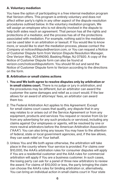### A. Voluntary mediation

You have the option of participating in a free internal mediation program that Verizon offers. This program is entirely voluntary and does not affect either party's rights in any other aspect of the dispute resolution procedures outlined below. In the voluntary mediation program, We will assign an employee who is not directly involved in the dispute to help both sides reach an agreement. That person has all the rights and protections of a mediator, and the process has all of the protections associated with mediation. For example, nothing said in the mediation can be used later in an arbitration or lawsuit. If You would like to know more, or would like to start the mediation process, please contact the Company at noticeofdispute@verizon.com, or You can request a Notice of Customer Dispute form from Verizon Dispute Resolution Manager, One Verizon Way, VC54N090, Basking Ridge, NJ 07920. A copy of the Notice of Customer Dispute form can also be found at verizon.com/noticeofdisputeform. You should fill out and send the Notice of Customer Dispute form to Verizon according to the directions on the form.

#### B. Arbitration or small claims actions

- 1. You and We both agree to resolve disputes only by arbitration or in small claims court. There is no judge or jury in arbitration, and the procedures may be different, but an arbitrator can award the customer the same damages and relief as a court would. If the law allows for an award of attorneys' fees, an arbitrator can award them too.
- 2. The Federal Arbitration Act applies to this Agreement. Except for small claims court cases that qualify, any dispute that in any way relates to or arises out of the Service Agreement or from any equipment, products and services You request or receive from Us (or from any advertising for any such products or services), including any claims against Our employees or agents, will be resolved by one or more neutral arbitrators before the American Arbitration Association ("AAA"). You can also bring any issues You may have to the attention of federal, state or local government agencies, and, if the law allows, they can seek relief on Your behalf.
- 3. Unless You and We both agree otherwise, the arbitration will take place in the county where Your service is provided. For claims over \$10,000, the AAA's arbitration rules for consumer disputes will apply if You are a residential customer and the AAA rules for commercial arbitration will apply if You are a business customer. In such cases, the losing party can ask for a panel of three new arbitrators to review the award. For claims of \$10,000 or less, the party bringing the claim can choose the AAA's rules for binding arbitration or, alternatively, You can bring an individual action in small claims court in Your state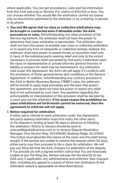where applicable. You can get procedures, rules and fee information from the AAA (adr.org) or Verizon. For claims of \$10,000 or less, You can choose whether You would like the arbitration carried out based only on documents submitted to the arbitrator or by a hearing, in person or by phone.

4. You and We agree that no class or collective arbitrations may be brought or conducted even if allowable under the AAA **procedures or rules.** Notwithstanding any other provision of the Service Agreement, the arbitrator shall not have the power to determine that class arbitration is permissible. The arbitrator also shall not have the power to preside over class or collective arbitration or to award any form of classwide or collective remedy. Instead, the arbitrator shall have power to award money or injunctive relief only in favor of the individual party seeking relief and only to the extent necessary to provide relief warranted by that party's individual claim. No class or representative or private attorney general theories of liability or prayers for relief may be maintained in any arbitration held under this Agreement. No AAA rule will apply if it conflicts with the provisions of these general terms and conditions or the Service Agreement. In addition, notwithstanding any contrary provision in the AAA or Better Business Bureau ("BBB") rules, the arbitrator will be bound to apply legal principles and the laws that govern this agreement, and does not have the power to award any relief that is not authorized by such laws. Any question regarding the enforceability or interpretation of this provision shall be decided by a court and not the arbitrator. If for some reason the prohibition on class arbitrations set forth herein cannot be enforced, then the agreement to arbitrate will not apply.

#### 5. Notice required for arbitration

If either party intends to seek arbitration under this Agreement, the party seeking arbitration must first notify the other party of the dispute in writing at least 30 days in advance of initiating the arbitration. Notice to Verizon should be sent to noticeofdispute@verizon.com or to Verizon Dispute Resolution Manager, One Verizon Way, VC54N090, Basking Ridge, NJ 07920. The notice must describe the nature of the claim and the relief being sought. If the parties are unable to resolve the dispute within 30 days, either party may then proceed to file a claim for arbitration. We will pay any filing fee that the AAA charges for arbitration of the dispute. If You provide Us with a signed written notice that You are financially unable to pay the filing fee, Verizon will pay the fee directly to the AAA and, if applicable, any administrative and arbitrator fees charged later, including any appeal to a panel of three new arbitrators (if the arbitration award is appealable as described above).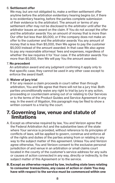#### 6. Settlement offer

We may, but are not obligated to, make a written settlement offer anytime before the arbitration evidentiary hearing begins (or, if there is no evidentiary hearing, before the parties complete submission of their evidence to the arbitrator). The amount or terms of any settlement offer may not be disclosed to the arbitrator until after the arbitrator issues an award on the claim. If You do not accept the offer and the arbitrator awards You an amount of money that is more than Our offer but less than \$5,000, or if the company does not make an offer to the customer and the arbitrator awards You any amount of money that is less than \$5,000, then We agree to pay the customer \$5,000 instead of the amount awarded. In that case We also agree to pay any reasonable attorneys' fees and expenses, regardless of whether the law requires it for Your case. If the arbitrator awards You more than \$5,000, then We will pay You the amount awarded.

#### 7. No precedent

An arbitration award and any judgment confirming it apply only to that specific case; they cannot be used in any other case except to enforce the award itself.

#### 8. Waiver of jury trial

If for any reason a claim proceeds in court rather than through arbitration, You and We agree that there will not be a jury trial. Both parties unconditionally waive any right to trial by jury in any action, proceeding or counterclaim arising out of or relating to Our Services or to the terms of the Product Guides and Service Agreement in any way. In the event of litigation, this paragraph may be filed to show a written consent to a trial by the court.

## 7. Governing law, venue and statute of limitations

- A. Except as otherwise required by law, You and Verizon agree that the Federal Arbitration Act and the substantive laws of the state where Your service is provided, without reference to its principles of conflicts of laws, will be applied to govern, construe and enforce all of the rights and duties of the parties arising from or relating in any way to the subject matter of this agreement. Unless You and Verizon agree otherwise, You and Verizon consent to the exclusive personal jurisdiction of and venue in an arbitration or small claims court located in the county of the customer's service address for any suits or causes of action connected in any way, directly or indirectly, to the subject matter of this Agreement or to the service.
- B. Except as otherwise required by law, including state laws relating to consumer transactions, any cause of action or claim You may have with respect to the service must be commenced within one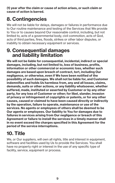(1) year after the claim or cause of action arises, or such claim or cause of action is barred.

## 8. Contingencies

We will not be liable for delays, damages or failures in performance due to Our routine maintenance and testing of the Services that We provide to You or to causes beyond Our reasonable control, including, but not limited to, acts of a governmental body, civil commotion, acts of God, acts of third parties, fires, floods, strikes or other labor disputes, or inability to obtain necessary equipment or services.

## 9. Consequential damages and liability limitation

We will not be liable for consequential, incidental, indirect or special damages, including, but not limited to, loss of business, profits, information or other commercial or economic loss, whether such damages are based upon breach of contract, tort, including Our negligence, or otherwise, even if We have been notified of the possibility of such damages. We shall not be liable for, and Customer indemnifies and holds Us harmless from, any and all losses, claims, demands, suits or other actions, or any liability whatsoever, whether suffered, made, instituted or asserted by Customer or by any other party, for any loss of Customer or other; for libel, slander, invasion of privacy or infringement of copyrights or patents, or for any other causes, caused or claimed to have been caused directly or indirectly by the operation, failure to operate, maintenance or use of the services. No agents or employees of others shall be deemed to be Our agents or employees. Our liability to You for damages due to failures in services arising from Our negligence or breach of this Agreement or failure to install the services in a timely manner shall in no event exceed the charges specified in this Agreement for the period of the service interruptions.

# 10. Title

We, or Our suppliers, will own all rights, title and interest in equipment. software and facilities used by Us to provide the Services. You shall have no property right or interest in the use of any specific type of facility, service, equipment or process.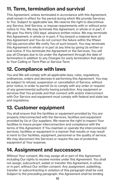# 11. Term, termination and survival

This Agreement, unless terminated in accordance with this Agreement, shall remain in effect for the period during which We provide Services to You. Subject to applicable law, We reserve the right to discontinue any Service, limit Service, or impose requirements with or without prior notice to You. We may terminate this Agreement, in whole or in part, if We give You thirty (30) days' advance written notice. We may terminate this Agreement, in whole or in part, if You breach a material term of this Agreement and You do not correct the failure within the fifteen (15) day period after We notify You of such breach. You may terminate this Agreement in whole or in part at any time by giving Us written or oral notice. If You terminate the Agreement or the Services, You will pay all Charges due to Us under the Agreement through the date of termination in addition to any Charges for early termination that apply to Your Calling or Term Plan or Service Term.

## 12. Compliance with laws

You and We will comply with all applicable laws, rules, regulations, ordinances, orders and decrees in performing this Agreement. You may be subject to refusal, suspension or cancellation of Service, without prior notice, in order to permit Us to comply with any order or request of any governmental authority having jurisdiction. Any equipment or services that You provide and that connect with and/or interconnect with Our Service and equipment must comply with federal and state law and regulations.

# 13. Customer equipment

You shall ensure that the facilities or equipment provided by You are properly interconnected with the Services, facilities and equipment provided by Us or Our suppliers. We reserve the right to inspect Your facilities to insure proper interconnection and compliance with the terms of this Agreement. If You maintain or operate the interconnected services, facilities or equipment in a manner that results or may result in harm to Our facilities, equipment, personnel or the quality of service, We may disconnect the Services or require the use of protective equipment at Your expense.

## 14. Assignment and successors

Without Your consent, We may assign all or part of this Agreement, including Our rights to receive monies under this Agreement. You shall not assign, subcontract, sublet or transfer this Agreement, in whole or in part, without Our written consent. Any assignment, subletting, transfer or subcontracting in violation of this paragraph shall be void. Subject to the preceding paragraph, this Agreement shall be binding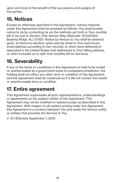upon and inure to the benefit of the successors and assigns of the parties.

# 15. Notices

Except as otherwise specified in this Agreement, notices required under this Agreement shall be provided as follows. You shall provide notice to Us by contacting Us via the methods set forth in Your monthly bill or by mail to Verizon, One Verizon Way, Mailcode: VC53S455, Basking Ridge, NJ, 07920. Notice by Verizon to You shall be deemed given, at Verizon's election, when sent by email to Your last-known email address according to Our records, or when hand delivered or deposited in the United States mail addressed to Your billing address, or when included on or with Your monthly bill for Services.

# 16. Severability

If any of the terms or conditions in this Agreement is held to be invalid or unenforceable by a government body of competent jurisdiction, the holding shall not affect any other term or condition of this Agreement, and the Agreement shall be construed as if it did not contain the invalid or unenforceable term or condition.

# 17. Entire agreement

This Agreement supersedes all prior representations, understandings or agreements on the subject matter of this Agreement. This Agreement may not be modified or waived except as described in this Agreement. With respect to all matters arising under this Agreement, this Agreement is a contract between You and solely the Verizon entity or entities that provides the Service to You.

V. 15.1 Effective September 1, 2015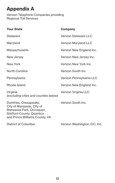## Appendix A

Verizon Telephone Companies providing Regional Toll Services

| <b>Your State</b>                                                                                                                                    | Company                  |
|------------------------------------------------------------------------------------------------------------------------------------------------------|--------------------------|
| Delaware                                                                                                                                             | Verizon Delaware LLC     |
| Maryland                                                                                                                                             | Verizon Maryland LLC     |
| Massachusetts                                                                                                                                        | Verizon New England Inc. |
| New Jersey                                                                                                                                           | Verizon New Jersey Inc.  |
| New York                                                                                                                                             | Verizon New York Inc.    |
| North Carolina                                                                                                                                       | Verizon South Inc.       |
| Pennsylvania                                                                                                                                         | Verizon Pennsylvania LLC |
| Rhode Island                                                                                                                                         | Verizon New England Inc. |
| Virginia<br>(excluding cities and counties below)                                                                                                    | Verizon Virginia LLC     |
| Dumfries, Chesapeake,<br>City of Manassas, City of<br>Manassas Park, Occoguan,<br><b>Stafford County, Quantico</b><br>and Prince Williams County, VA | Verizon South Inc.       |

District of Columbia Verizon Washington, D.C. Inc.